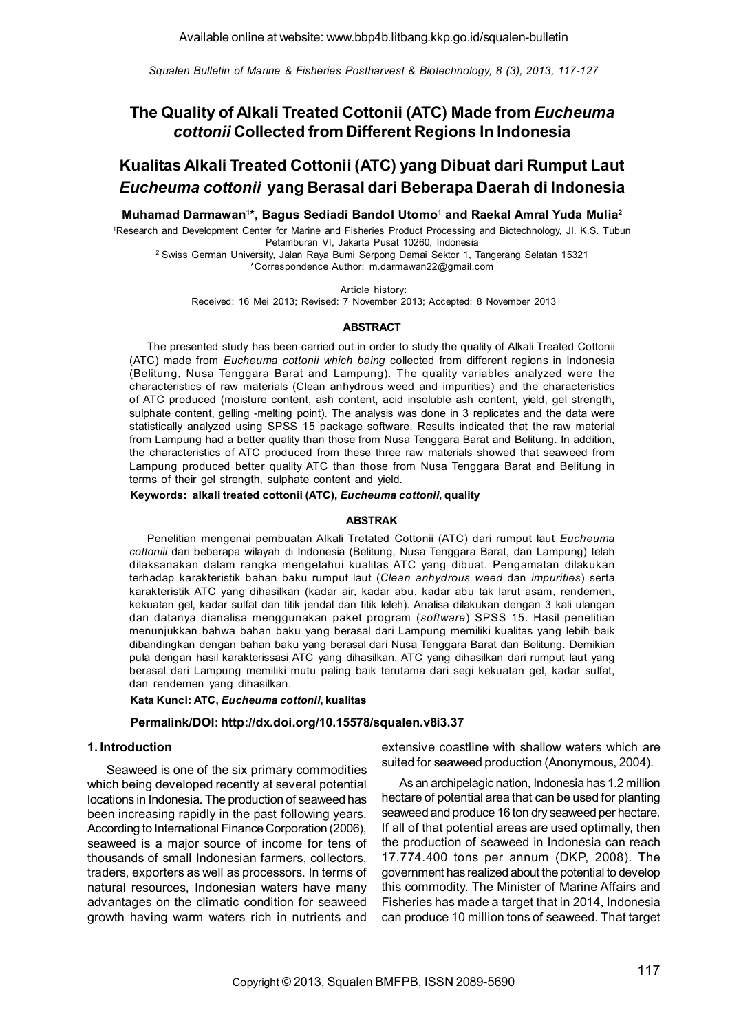*Squalen Bulletin of Marine & Fisheries Postharvest & Biotechnology, 8 (3), 2013, 117-127*

# The Quality of Alkali Treated Cottonii (ATC) Made from *Eucheuma cottonii* Collected from Different Regions In Indonesia

# Kualitas Alkali Treated Cottonii (ATC) yang Dibuat dari Rumput Laut *Eucheuma cottonii* yang Berasal dari Beberapa Daerah di Indonesia

Muhamad Darmawan<sup>1</sup>\*, Bagus Sediadi Bandol Utomo<sup>1</sup> and Raekal Amral Yuda Mulia<sup>2</sup>

1Research and Development Center for Marine and Fisheries Product Processing and Biotechnology, Jl. K.S. Tubun Petamburan VI, Jakarta Pusat 10260, Indonesia

2 Swiss German University, Jalan Raya Bumi Serpong Damai Sektor 1, Tangerang Selatan 15321 \*Correspondence Author: m.darmawan22@gmail.com

Article history:

Received: 16 Mei 2013; Revised: 7 November 2013; Accepted: 8 November 2013

#### ABSTRACT

The presented study has been carried out in order to study the quality of Alkali Treated Cottonii (ATC) made from *Eucheuma cottonii which being* collected from different regions in Indonesia (Belitung, Nusa Tenggara Barat and Lampung). The quality variables analyzed were the characteristics of raw materials (Clean anhydrous weed and impurities) and the characteristics of ATC produced (moisture content, ash content, acid insoluble ash content, yield, gel strength, sulphate content, gelling -melting point). The analysis was done in 3 replicates and the data were statistically analyzed using SPSS 15 package software. Results indicated that the raw material from Lampung had a better quality than those from Nusa Tenggara Barat and Belitung. In addition, the characteristics of ATC produced from these three raw materials showed that seaweed from Lampung produced better quality ATC than those from Nusa Tenggara Barat and Belitung in terms of their gel strength, sulphate content and yield.

Keywords: alkali treated cottonii (ATC), *Eucheuma cottonii*, quality

#### ABSTRAK

Penelitian mengenai pembuatan Alkali Tretated Cottonii (ATC) dari rumput laut *Eucheuma cottoniii* dari beberapa wilayah di Indonesia (Belitung, Nusa Tenggara Barat, dan Lampung) telah dilaksanakan dalam rangka mengetahui kualitas ATC yang dibuat. Pengamatan dilakukan terhadap karakteristik bahan baku rumput laut (*Clean anhydrous weed* dan *impurities*) serta karakteristik ATC yang dihasilkan (kadar air, kadar abu, kadar abu tak larut asam, rendemen, kekuatan gel, kadar sulfat dan titik jendal dan titik leleh). Analisa dilakukan dengan 3 kali ulangan dan datanya dianalisa menggunakan paket program (*software*) SPSS 15. Hasil penelitian menunjukkan bahwa bahan baku yang berasal dari Lampung memiliki kualitas yang lebih baik dibandingkan dengan bahan baku yang berasal dari Nusa Tenggara Barat dan Belitung. Demikian pula dengan hasil karakterissasi ATC yang dihasilkan. ATC yang dihasilkan dari rumput laut yang berasal dari Lampung memiliki mutu paling baik terutama dari segi kekuatan gel, kadar sulfat, dan rendemen yang dihasilkan.

Kata Kunci: ATC, *Eucheuma cottonii*, kualitas

#### Permalink/DOI: http://dx.doi.org/10.15578/squalen.v8i3.37

## 1. Introduction

Seaweed is one of the six primary commodities which being developed recently at several potential locations in Indonesia. The production of seaweed has been increasing rapidly in the past following years. According to International Finance Corporation (2006), seaweed is a major source of income for tens of thousands of small Indonesian farmers, collectors, traders, exporters as well as processors. In terms of natural resources, Indonesian waters have many advantages on the climatic condition for seaweed growth having warm waters rich in nutrients and extensive coastline with shallow waters which are suited for seaweed production (Anonymous, 2004).

As an archipelagic nation, Indonesia has 1.2 million hectare of potential area that can be used for planting seaweed and produce 16 ton dry seaweed per hectare. If all of that potential areas are used optimally, then the production of seaweed in Indonesia can reach 17.774.400 tons per annum (DKP, 2008). The government has realized about the potential to develop this commodity. The Minister of Marine Affairs and Fisheries has made a target that in 2014, Indonesia can produce 10 million tons of seaweed. That target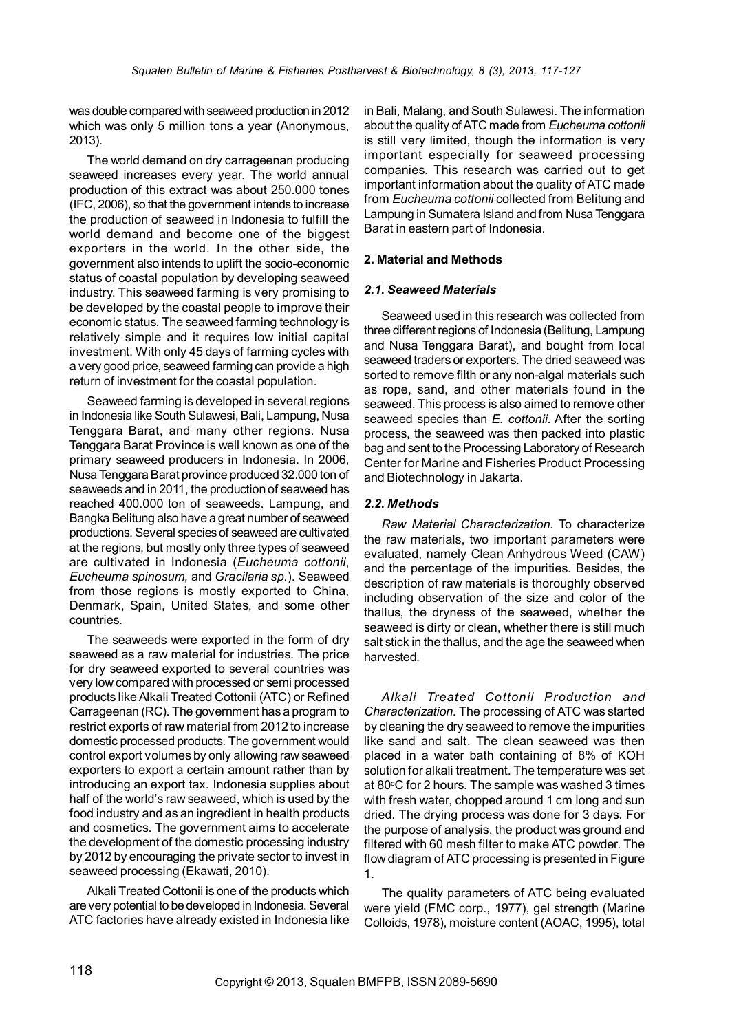was double compared with seaweed production in 2012 which was only 5 million tons a year (Anonymous, 2013).

The world demand on dry carrageenan producing seaweed increases every year. The world annual production of this extract was about 250.000 tones (IFC, 2006), so that the government intends to increase the production of seaweed in Indonesia to fulfill the world demand and become one of the biggest exporters in the world. In the other side, the government also intends to uplift the socio-economic status of coastal population by developing seaweed industry. This seaweed farming is very promising to be developed by the coastal people to improve their economic status. The seaweed farming technology is relatively simple and it requires low initial capital investment. With only 45 days of farming cycles with a very good price, seaweed farming can provide a high return of investment for the coastal population.

Seaweed farming is developed in several regions in Indonesia like South Sulawesi, Bali, Lampung, Nusa Tenggara Barat, and many other regions. Nusa Tenggara Barat Province is well known as one of the primary seaweed producers in Indonesia. In 2006, Nusa Tenggara Barat province produced 32.000 ton of seaweeds and in 2011, the production of seaweed has reached 400.000 ton of seaweeds. Lampung, and Bangka Belitung also have a great number of seaweed productions. Several species of seaweed are cultivated at the regions, but mostly only three types of seaweed are cultivated in Indonesia (*Eucheuma cottonii*, *Eucheuma spinosum,* and *Gracilaria sp.*). Seaweed from those regions is mostly exported to China, Denmark, Spain, United States, and some other countries.

The seaweeds were exported in the form of dry seaweed as a raw material for industries. The price for dry seaweed exported to several countries was very low compared with processed or semi processed products like Alkali Treated Cottonii (ATC) or Refined Carrageenan (RC). The government has a program to restrict exports of raw material from 2012 to increase domestic processed products. The government would control export volumes by only allowing raw seaweed exporters to export a certain amount rather than by introducing an export tax. Indonesia supplies about half of the world's raw seaweed, which is used by the food industry and as an ingredient in health products and cosmetics. The government aims to accelerate the development of the domestic processing industry by 2012 by encouraging the private sector to invest in seaweed processing (Ekawati, 2010).

Alkali Treated Cottonii is one of the products which are very potential to be developed in Indonesia. Several ATC factories have already existed in Indonesia like

in Bali, Malang, and South Sulawesi. The information about the quality of ATC made from *Eucheuma cottonii* is still very limited, though the information is very important especially for seaweed processing companies. This research was carried out to get important information about the quality of ATC made from *Eucheuma cottonii* collected from Belitung and Lampung in Sumatera Island and from Nusa Tenggara Barat in eastern part of Indonesia.

# 2. Material and Methods

## *2.1. Seaweed Materials*

Seaweed used in this research was collected from three different regions of Indonesia (Belitung, Lampung and Nusa Tenggara Barat), and bought from local seaweed traders or exporters. The dried seaweed was sorted to remove filth or any non-algal materials such as rope, sand, and other materials found in the seaweed. This process is also aimed to remove other seaweed species than *E. cottonii*. After the sorting process, the seaweed was then packed into plastic bag and sent to the Processing Laboratory of Research Center for Marine and Fisheries Product Processing and Biotechnology in Jakarta.

## *2.2. Methods*

*Raw Material Characterization.* To characterize the raw materials, two important parameters were evaluated, namely Clean Anhydrous Weed (CAW) and the percentage of the impurities. Besides, the description of raw materials is thoroughly observed including observation of the size and color of the thallus, the dryness of the seaweed, whether the seaweed is dirty or clean, whether there is still much salt stick in the thallus, and the age the seaweed when harvested.

*Alkali Treated Cottonii Production and Characterization.* The processing of ATC was started by cleaning the dry seaweed to remove the impurities like sand and salt. The clean seaweed was then placed in a water bath containing of 8% of KOH solution for alkali treatment. The temperature was set at 80°C for 2 hours. The sample was washed 3 times with fresh water, chopped around 1 cm long and sun dried. The drying process was done for 3 days. For the purpose of analysis, the product was ground and filtered with 60 mesh filter to make ATC powder. The flow diagram of ATC processing is presented in Figure 1.

The quality parameters of ATC being evaluated were yield (FMC corp., 1977), gel strength (Marine Colloids, 1978), moisture content (AOAC, 1995), total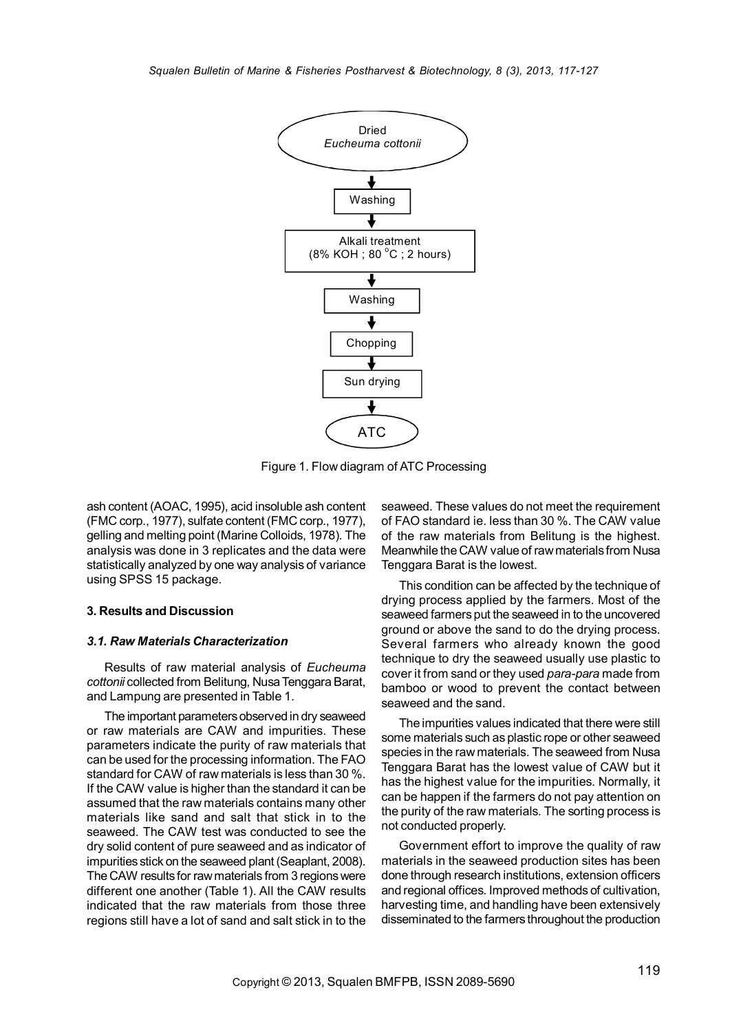

Figure 1. Flow diagram of ATC Processing

ash content (AOAC, 1995), acid insoluble ash content (FMC corp., 1977), sulfate content (FMC corp., 1977), gelling and melting point (Marine Colloids, 1978). The analysis was done in 3 replicates and the data were statistically analyzed by one way analysis of variance using SPSS 15 package.

#### 3. Results and Discussion

#### *3.1. Raw Materials Characterization*

Results of raw material analysis of *Eucheuma cottonii* collected from Belitung, Nusa Tenggara Barat, and Lampung are presented in Table 1.

The important parameters observed in dry seaweed or raw materials are CAW and impurities. These parameters indicate the purity of raw materials that can be used for the processing information. The FAO standard for CAW of raw materials is less than 30 %. If the CAW value is higher than the standard it can be assumed that the raw materials contains many other materials like sand and salt that stick in to the seaweed. The CAW test was conducted to see the dry solid content of pure seaweed and as indicator of impurities stick on the seaweed plant (Seaplant, 2008). The CAW results for raw materials from 3 regions were different one another (Table 1). All the CAW results indicated that the raw materials from those three regions still have a lot of sand and salt stick in to the

seaweed. These values do not meet the requirement of FAO standard ie. less than 30 %. The CAW value of the raw materials from Belitung is the highest. Meanwhile the CAW value of raw materials from Nusa Tenggara Barat is the lowest.

This condition can be affected by the technique of drying process applied by the farmers. Most of the seaweed farmers put the seaweed in to the uncovered ground or above the sand to do the drying process. Several farmers who already known the good technique to dry the seaweed usually use plastic to cover it from sand or they used *para-para* made from bamboo or wood to prevent the contact between seaweed and the sand.

The impurities values indicated that there were still some materials such as plastic rope or other seaweed species in the raw materials. The seaweed from Nusa Tenggara Barat has the lowest value of CAW but it has the highest value for the impurities. Normally, it can be happen if the farmers do not pay attention on the purity of the raw materials. The sorting process is not conducted properly.

Government effort to improve the quality of raw materials in the seaweed production sites has been done through research institutions, extension officers and regional offices. Improved methods of cultivation, harvesting time, and handling have been extensively disseminated to the farmers throughout the production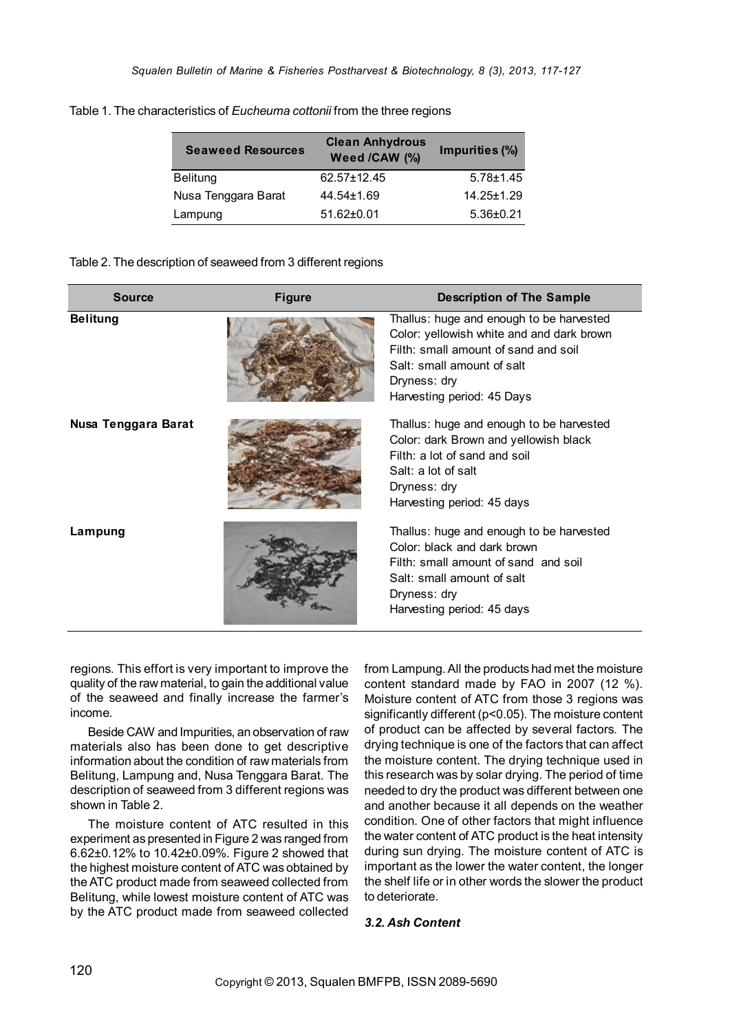| <b>Seaweed Resources</b> | <b>Clean Anhydrous</b><br>Weed /CAW (%) | Impurities (%)   |
|--------------------------|-----------------------------------------|------------------|
| <b>Belitung</b>          | $62.57 \pm 12.45$                       | $5.78 \pm 1.45$  |
| Nusa Tenggara Barat      | 44.54±1.69                              | $14.25 \pm 1.29$ |
| Lampung                  | $51.62 \pm 0.01$                        | $5.36 \pm 0.21$  |

Table 1. The characteristics of *Eucheuma cottonii* from the three regions

## Table 2. The description of seaweed from 3 different regions

| Source              | <b>Figure</b> | <b>Description of The Sample</b>                                                                                                                                                                          |
|---------------------|---------------|-----------------------------------------------------------------------------------------------------------------------------------------------------------------------------------------------------------|
| <b>Belitung</b>     |               | Thallus: huge and enough to be harvested<br>Color: yellowish white and and dark brown<br>Filth: small amount of sand and soil<br>Salt: small amount of salt<br>Dryness: dry<br>Harvesting period: 45 Days |
| Nusa Tenggara Barat |               | Thallus: huge and enough to be harvested<br>Color: dark Brown and yellowish black<br>Filth: a lot of sand and soil<br>Salt: a lot of salt<br>Dryness: dry<br>Harvesting period: 45 days                   |
| Lampung             |               | Thallus: huge and enough to be harvested<br>Color: black and dark brown<br>Filth: small amount of sand and soil<br>Salt: small amount of salt<br>Dryness: dry<br>Harvesting period: 45 days               |

regions. This effort is very important to improve the quality of the raw material, to gain the additional value of the seaweed and finally increase the farmer's income.

Beside CAW and Impurities, an observation of raw materials also has been done to get descriptive information about the condition of raw materials from Belitung, Lampung and, Nusa Tenggara Barat. The description of seaweed from 3 different regions was shown in Table 2.

The moisture content of ATC resulted in this experiment as presented in Figure 2 was ranged from 6.62±0.12% to 10.42±0.09%. Figure 2 showed that the highest moisture content of ATC was obtained by the ATC product made from seaweed collected from Belitung, while lowest moisture content of ATC was by the ATC product made from seaweed collected

from Lampung. All the products had met the moisture content standard made by FAO in 2007 (12 %). Moisture content of ATC from those 3 regions was significantly different (p<0.05). The moisture content of product can be affected by several factors. The drying technique is one of the factors that can affect the moisture content. The drying technique used in this research was by solar drying. The period of time needed to dry the product was different between one and another because it all depends on the weather condition. One of other factors that might influence the water content of ATC product is the heat intensity during sun drying. The moisture content of ATC is important as the lower the water content, the longer the shelf life or in other words the slower the product to deteriorate.

## *3.2. Ash Content*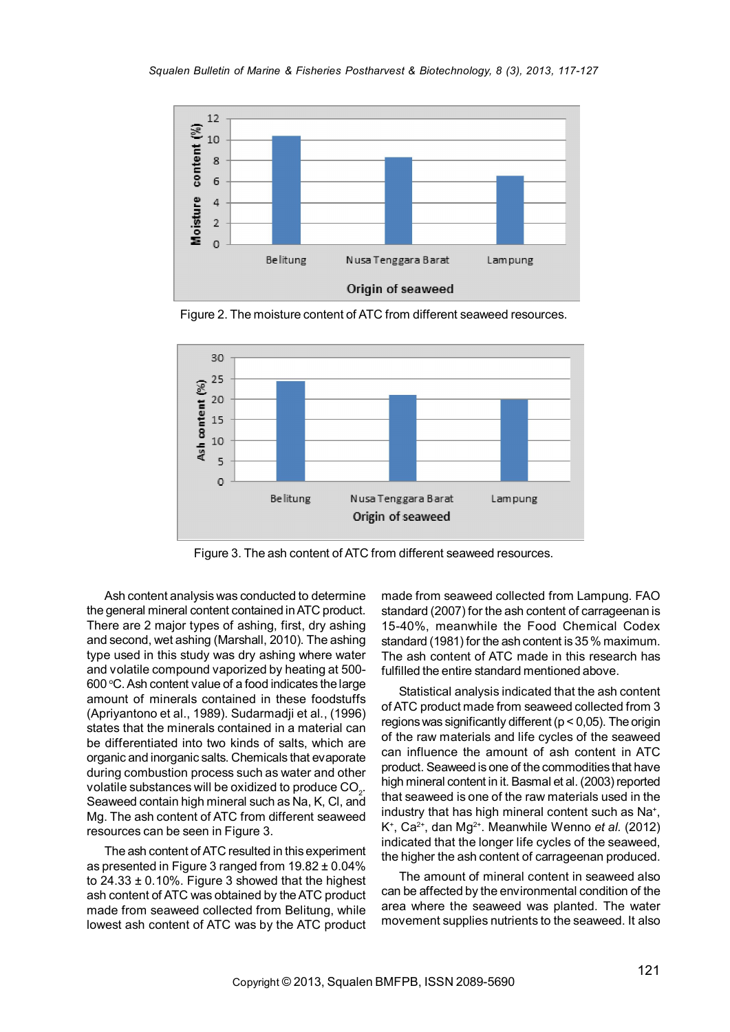

Figure 2. The moisture content of ATC from different seaweed resources.



Figure 3. The ash content of ATC from different seaweed resources.

Ash content analysis was conducted to determine the general mineral content contained in ATC product. There are 2 major types of ashing, first, dry ashing and second, wet ashing (Marshall, 2010). The ashing type used in this study was dry ashing where water and volatile compound vaporized by heating at 500- 600 $\,^{\circ}$ C. Ash content value of a food indicates the large amount of minerals contained in these foodstuffs (Apriyantono et al., 1989). Sudarmadji et al., (1996) states that the minerals contained in a material can be differentiated into two kinds of salts, which are organic and inorganic salts. Chemicals that evaporate during combustion process such as water and other volatile substances will be oxidized to produce CO $_{\textrm{\tiny{2}}}$ . Seaweed contain high mineral such as Na, K, Cl, and Mg. The ash content of ATC from different seaweed resources can be seen in Figure 3.

The ash content of ATC resulted in this experiment as presented in Figure 3 ranged from 19.82 ± 0.04% to  $24.33 \pm 0.10\%$ . Figure 3 showed that the highest ash content of ATC was obtained by the ATC product made from seaweed collected from Belitung, while lowest ash content of ATC was by the ATC product

made from seaweed collected from Lampung. FAO standard (2007) for the ash content of carrageenan is 15-40%, meanwhile the Food Chemical Codex standard (1981) for the ash content is 35 % maximum. The ash content of ATC made in this research has fulfilled the entire standard mentioned above.

Statistical analysis indicated that the ash content of ATC product made from seaweed collected from 3 regions was significantly different ( $p < 0.05$ ). The origin of the raw materials and life cycles of the seaweed can influence the amount of ash content in ATC product. Seaweed is one of the commodities that have high mineral content in it. Basmal et al. (2003) reported that seaweed is one of the raw materials used in the industry that has high mineral content such as Na<sup>+</sup>, K<sup>+</sup>, Ca<sup>2+</sup>, dan Mg<sup>2+</sup>. Meanwhile Wenno *et al.* (2012) indicated that the longer life cycles of the seaweed, the higher the ash content of carrageenan produced.

The amount of mineral content in seaweed also can be affected by the environmental condition of the area where the seaweed was planted. The water movement supplies nutrients to the seaweed. It also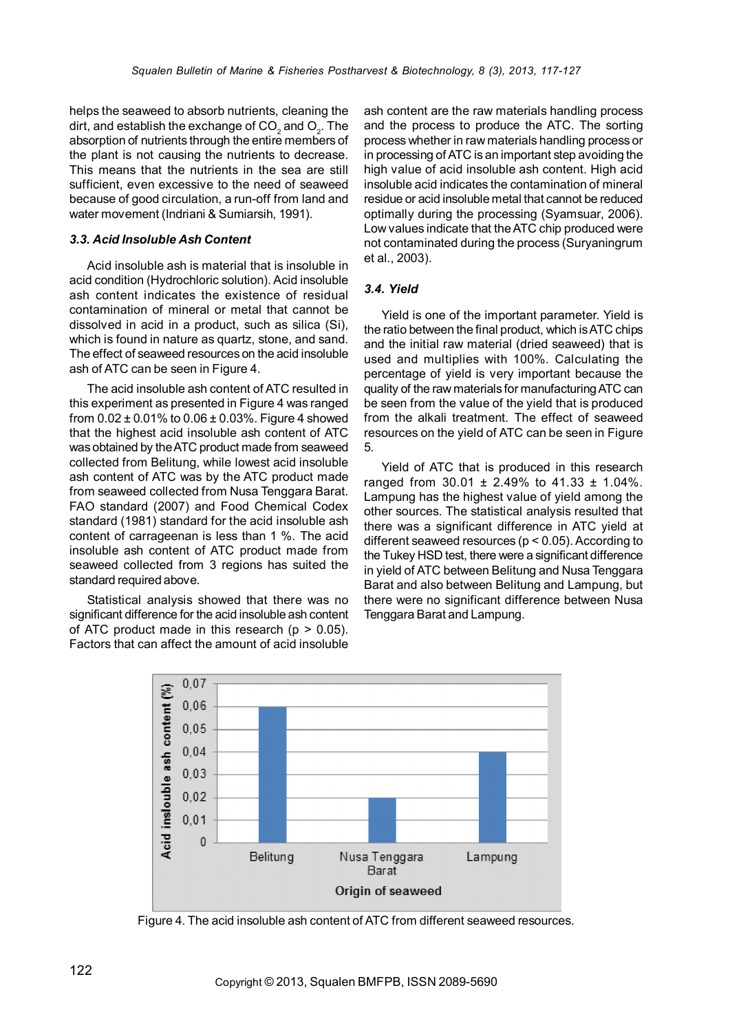helps the seaweed to absorb nutrients, cleaning the dirt, and establish the exchange of  $CO_2$  and  $O_2$ . The absorption of nutrients through the entire members of the plant is not causing the nutrients to decrease. This means that the nutrients in the sea are still sufficient, even excessive to the need of seaweed because of good circulation, a run-off from land and water movement (Indriani & Sumiarsih, 1991).

## *3.3. Acid Insoluble Ash Content*

Acid insoluble ash is material that is insoluble in acid condition (Hydrochloric solution). Acid insoluble ash content indicates the existence of residual contamination of mineral or metal that cannot be dissolved in acid in a product, such as silica (Si), which is found in nature as quartz, stone, and sand. The effect of seaweed resources on the acid insoluble ash of ATC can be seen in Figure 4.

The acid insoluble ash content of ATC resulted in this experiment as presented in Figure 4 was ranged from  $0.02 \pm 0.01\%$  to  $0.06 \pm 0.03\%$ . Figure 4 showed that the highest acid insoluble ash content of ATC was obtained by the ATC product made from seaweed collected from Belitung, while lowest acid insoluble ash content of ATC was by the ATC product made from seaweed collected from Nusa Tenggara Barat. FAO standard (2007) and Food Chemical Codex standard (1981) standard for the acid insoluble ash content of carrageenan is less than 1 %. The acid insoluble ash content of ATC product made from seaweed collected from 3 regions has suited the standard required above.

Statistical analysis showed that there was no significant difference for the acid insoluble ash content of ATC product made in this research  $(p > 0.05)$ . Factors that can affect the amount of acid insoluble ash content are the raw materials handling process and the process to produce the ATC. The sorting process whether in raw materials handling process or in processing of ATC is an important step avoiding the high value of acid insoluble ash content. High acid insoluble acid indicates the contamination of mineral residue or acid insoluble metal that cannot be reduced optimally during the processing (Syamsuar, 2006). Low values indicate that the ATC chip produced were not contaminated during the process (Suryaningrum et al., 2003).

# *3.4. Yield*

Yield is one of the important parameter. Yield is the ratio between the final product, which is ATC chips and the initial raw material (dried seaweed) that is used and multiplies with 100%. Calculating the percentage of yield is very important because the quality of the raw materials for manufacturing ATC can be seen from the value of the yield that is produced from the alkali treatment. The effect of seaweed resources on the yield of ATC can be seen in Figure 5.

Yield of ATC that is produced in this research ranged from  $30.01 \pm 2.49\%$  to  $41.33 \pm 1.04\%$ . Lampung has the highest value of yield among the other sources. The statistical analysis resulted that there was a significant difference in ATC yield at different seaweed resources ( $p < 0.05$ ). According to the Tukey HSD test, there were a significant difference in yield of ATC between Belitung and Nusa Tenggara Barat and also between Belitung and Lampung, but there were no significant difference between Nusa Tenggara Barat and Lampung.



Figure 4. The acid insoluble ash content of ATC from different seaweed resources.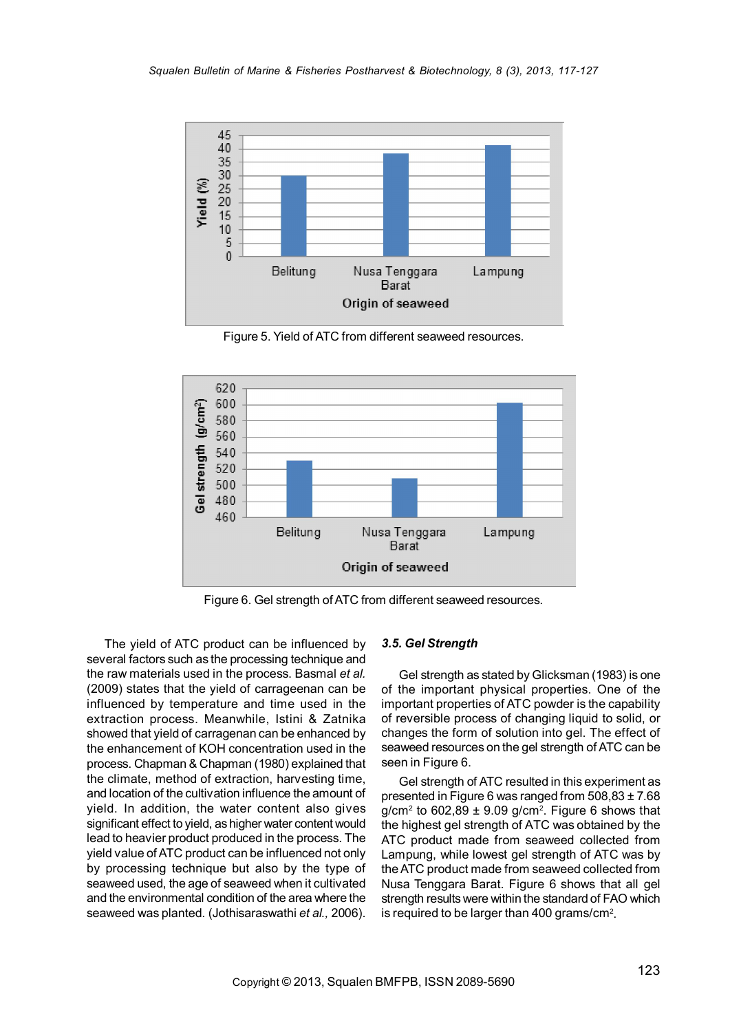

Figure 5. Yield of ATC from different seaweed resources.



Figure 6. Gel strength of ATC from different seaweed resources.

The yield of ATC product can be influenced by several factors such as the processing technique and the raw materials used in the process. Basmal *et al.* (2009) states that the yield of carrageenan can be influenced by temperature and time used in the extraction process. Meanwhile, Istini & Zatnika showed that yield of carragenan can be enhanced by the enhancement of KOH concentration used in the process. Chapman & Chapman (1980) explained that the climate, method of extraction, harvesting time, and location of the cultivation influence the amount of yield. In addition, the water content also gives significant effect to yield, as higher water content would lead to heavier product produced in the process. The yield value of ATC product can be influenced not only by processing technique but also by the type of seaweed used, the age of seaweed when it cultivated and the environmental condition of the area where the seaweed was planted. (Jothisaraswathi *et al.,* 2006).

#### *3.5. Gel Strength*

Gel strength as stated by Glicksman (1983) is one of the important physical properties. One of the important properties of ATC powder is the capability of reversible process of changing liquid to solid, or changes the form of solution into gel. The effect of seaweed resources on the gel strength of ATC can be seen in Figure 6.

Gel strength of ATC resulted in this experiment as presented in Figure 6 was ranged from 508,83 ± 7.68 g/cm<sup>2</sup> to 602,89  $\pm$  9.09 g/cm<sup>2</sup>. Figure 6 shows that the highest gel strength of ATC was obtained by the ATC product made from seaweed collected from Lampung, while lowest gel strength of ATC was by the ATC product made from seaweed collected from Nusa Tenggara Barat. Figure 6 shows that all gel strength results were within the standard of FAO which is required to be larger than 400 grams/ $cm<sup>2</sup>$ .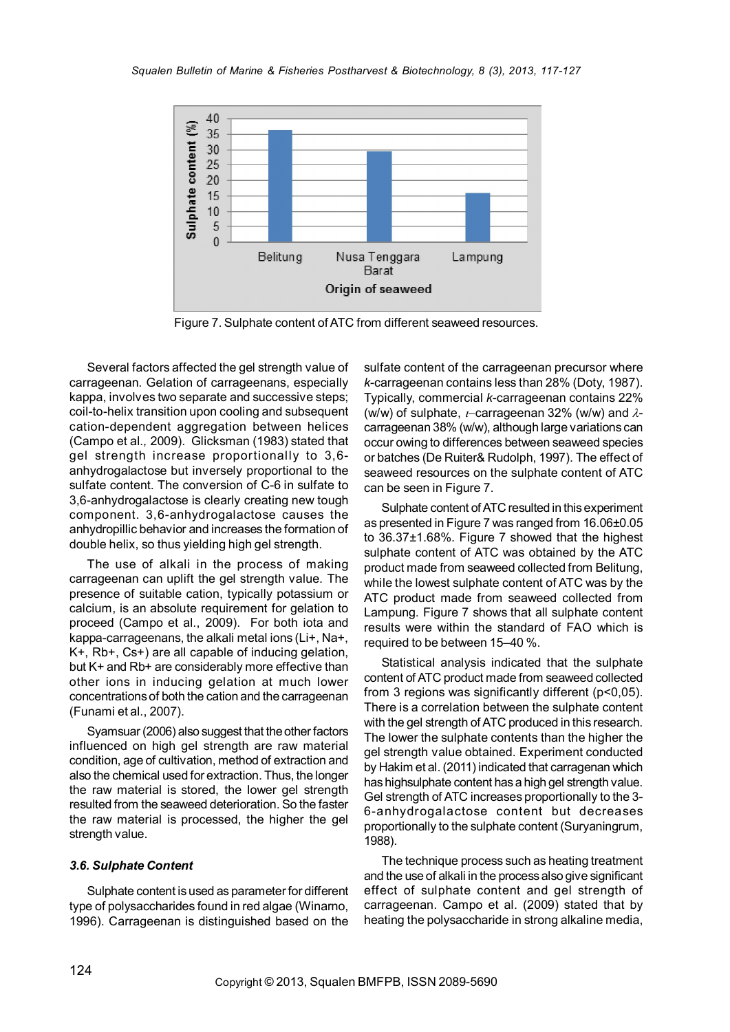

Figure 7. Sulphate content of ATC from different seaweed resources.

Several factors affected the gel strength value of carrageenan. Gelation of carrageenans, especially kappa, involves two separate and successive steps; coil-to-helix transition upon cooling and subsequent cation-dependent aggregation between helices (Campo et al*.,* 2009). Glicksman (1983) stated that gel strength increase proportionally to 3,6 anhydrogalactose but inversely proportional to the sulfate content. The conversion of C-6 in sulfate to 3,6-anhydrogalactose is clearly creating new tough component. 3,6-anhydrogalactose causes the anhydropillic behavior and increases the formation of double helix, so thus yielding high gel strength.

The use of alkali in the process of making carrageenan can uplift the gel strength value. The presence of suitable cation, typically potassium or calcium, is an absolute requirement for gelation to proceed (Campo et al., 2009). For both iota and kappa-carrageenans, the alkali metal ions (Li+, Na+, K+, Rb+, Cs+) are all capable of inducing gelation, but K+ and Rb+ are considerably more effective than other ions in inducing gelation at much lower concentrations of both the cation and the carrageenan (Funami et al., 2007).

Syamsuar (2006) also suggest that the other factors influenced on high gel strength are raw material condition, age of cultivation, method of extraction and also the chemical used for extraction. Thus, the longer the raw material is stored, the lower gel strength resulted from the seaweed deterioration. So the faster the raw material is processed, the higher the gel strength value.

#### *3.6. Sulphate Content*

Sulphate content is used as parameter for different type of polysaccharides found in red algae (Winarno, 1996). Carrageenan is distinguished based on the

sulfate content of the carrageenan precursor where *k*-carrageenan contains less than 28% (Doty, 1987). Typically, commercial *k*-carrageenan contains 22% (w/w) of sulphate,  $t$ -carrageenan 32% (w/w) and  $\lambda$ carrageenan 38% (w/w), although large variations can occur owing to differences between seaweed species or batches (De Ruiter& Rudolph, 1997). The effect of seaweed resources on the sulphate content of ATC can be seen in Figure 7.

Sulphate content of ATC resulted in this experiment as presented in Figure 7 was ranged from 16.06±0.05 to 36.37±1.68%. Figure 7 showed that the highest sulphate content of ATC was obtained by the ATC product made from seaweed collected from Belitung, while the lowest sulphate content of ATC was by the ATC product made from seaweed collected from Lampung. Figure 7 shows that all sulphate content results were within the standard of FAO which is required to be between 15–40 %.

Statistical analysis indicated that the sulphate content of ATC product made from seaweed collected from 3 regions was significantly different (p<0,05). There is a correlation between the sulphate content with the gel strength of ATC produced in this research. The lower the sulphate contents than the higher the gel strength value obtained. Experiment conducted by Hakim et al. (2011) indicated that carragenan which has highsulphate content has a high gel strength value. Gel strength of ATC increases proportionally to the 3- 6-anhydrogalactose content but decreases proportionally to the sulphate content (Suryaningrum, 1988).

The technique process such as heating treatment and the use of alkali in the process also give significant effect of sulphate content and gel strength of carrageenan. Campo et al. (2009) stated that by heating the polysaccharide in strong alkaline media,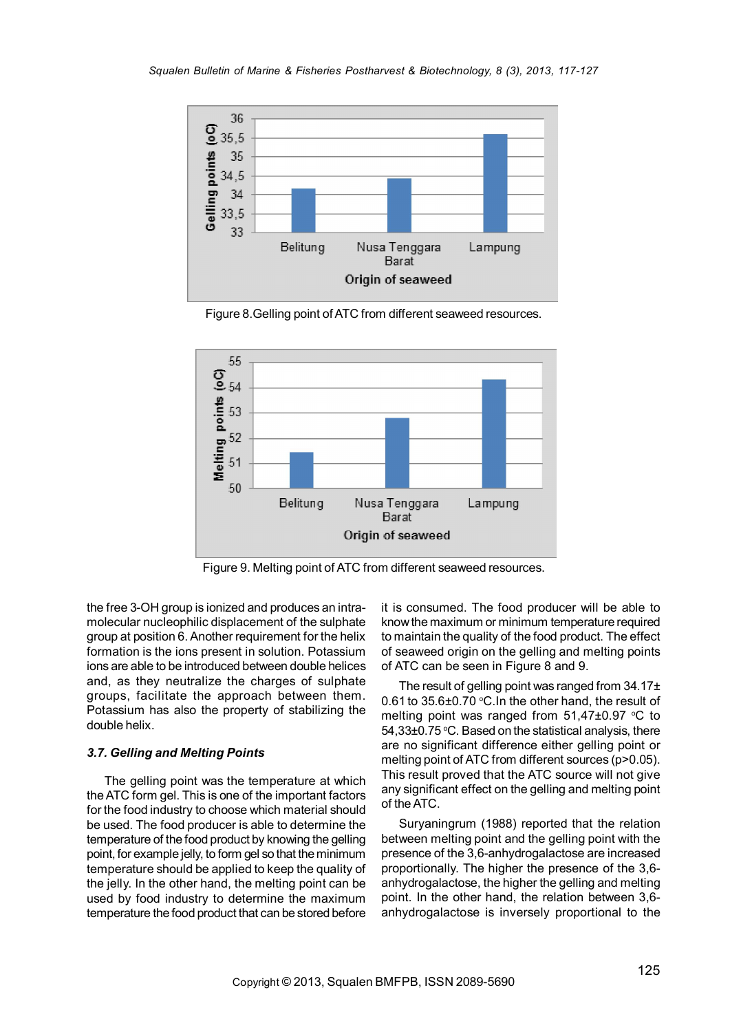

Figure 8.Gelling point of ATC from different seaweed resources.



Figure 9. Melting point of ATC from different seaweed resources.

the free 3-OH group is ionized and produces an intramolecular nucleophilic displacement of the sulphate group at position 6. Another requirement for the helix formation is the ions present in solution. Potassium ions are able to be introduced between double helices and, as they neutralize the charges of sulphate groups, facilitate the approach between them. Potassium has also the property of stabilizing the double helix.

## *3.7. Gelling and Melting Points*

The gelling point was the temperature at which the ATC form gel. This is one of the important factors for the food industry to choose which material should be used. The food producer is able to determine the temperature of the food product by knowing the gelling point, for example jelly, to form gel so that the minimum temperature should be applied to keep the quality of the jelly. In the other hand, the melting point can be used by food industry to determine the maximum temperature the food product that can be stored before

it is consumed. The food producer will be able to know the maximum or minimum temperature required to maintain the quality of the food product. The effect of seaweed origin on the gelling and melting points of ATC can be seen in Figure 8 and 9.

The result of gelling point was ranged from  $34.17<sub>±</sub>$ 0.61 to  $35.6\pm0.70$  °C. In the other hand, the result of melting point was ranged from  $51,47\pm0.97$  °C to 54,33±0.75 °C. Based on the statistical analysis, there are no significant difference either gelling point or melting point of ATC from different sources (p>0.05). This result proved that the ATC source will not give any significant effect on the gelling and melting point of the ATC.

Suryaningrum (1988) reported that the relation between melting point and the gelling point with the presence of the 3,6-anhydrogalactose are increased proportionally. The higher the presence of the 3,6 anhydrogalactose, the higher the gelling and melting point. In the other hand, the relation between 3,6 anhydrogalactose is inversely proportional to the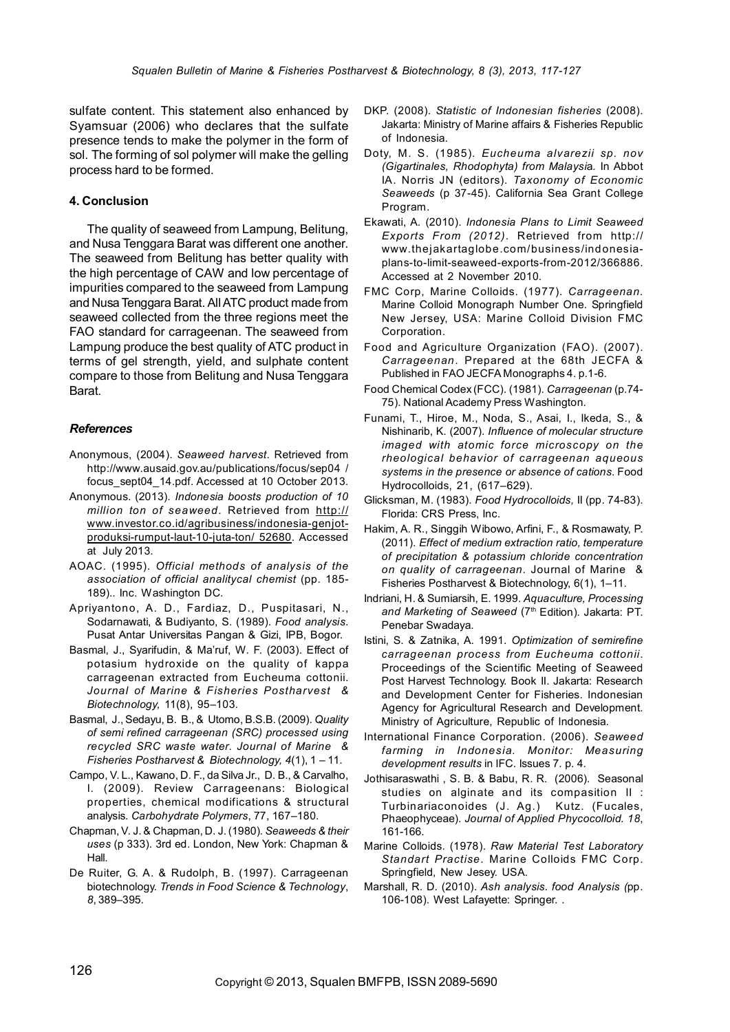sulfate content. This statement also enhanced by Syamsuar (2006) who declares that the sulfate presence tends to make the polymer in the form of sol. The forming of sol polymer will make the gelling process hard to be formed.

#### 4. Conclusion

The quality of seaweed from Lampung, Belitung, and Nusa Tenggara Barat was different one another. The seaweed from Belitung has better quality with the high percentage of CAW and low percentage of impurities compared to the seaweed from Lampung and Nusa Tenggara Barat. All ATC product made from seaweed collected from the three regions meet the FAO standard for carrageenan. The seaweed from Lampung produce the best quality of ATC product in terms of gel strength, yield, and sulphate content compare to those from Belitung and Nusa Tenggara Barat.

#### *References*

- Anonymous, (2004). *Seaweed harvest*. Retrieved from http://www.ausaid.gov.au/publications/focus/sep04 / focus\_sept04\_14.pdf. Accessed at 10 October 2013.
- Anonymous. (2013). *Indonesia boosts production of 10 million ton of seaweed*. Retrieved from http:// www.investor.co.id/agribusiness/indonesia-genjotproduksi-rumput-laut-10-juta-ton/ 52680. Accessed at July 2013.
- AOAC. (1995). *Official methods of analysis of the association of official analitycal chemist* (pp. 185- 189).. Inc. Washington DC.
- Apriyantono, A. D., Fardiaz, D., Puspitasari, N., Sodarnawati, & Budiyanto, S. (1989). *Food analysis*. Pusat Antar Universitas Pangan & Gizi, IPB, Bogor.
- Basmal, J., Syarifudin, & Ma'ruf, W. F. (2003). Effect of potasium hydroxide on the quality of kappa carrageenan extracted from Eucheuma cottonii. *Journal of Marine & Fisheries Postharvest & Biotechnology,* 11(8), 95–103.
- Basmal, J., Sedayu, B. B., & Utomo, B.S.B. (2009). *Quality of semi refined carrageenan (SRC) processed using recycled SRC waste water. Journal of Marine & Fisheries Postharvest & Biotechnology, 4*(1), 1 – 11.
- Campo, V. L., Kawano, D. F., da Silva Jr., D. B., & Carvalho, I. (2009). Review Carrageenans: Biological properties, chemical modifications & structural analysis. *Carbohydrate Polymers*, 77, 167–180.
- Chapman, V. J. & Chapman, D. J. (1980). *Seaweeds & their uses* (p 333). 3rd ed. London, New York: Chapman & Hall.
- De Ruiter, G. A. & Rudolph, B. (1997). Carrageenan biotechnology. *Trends in Food Science & Technology*, *8*, 389–395.
- DKP. (2008). *Statistic of Indonesian fisheries* (2008). Jakarta: Ministry of Marine affairs & Fisheries Republic of Indonesia.
- Doty, M. S. (1985). *Eucheuma alvarezii sp. nov (Gigartinales, Rhodophyta) from Malaysi*a. In Abbot IA. Norris JN (editors). *Taxonomy of Economic Seaweeds* (p 37-45). California Sea Grant College Program.
- Ekawati, A. (2010). *Indonesia Plans to Limit Seaweed Exports From (2012)*. Retrieved from http:// www.thejakartaglobe.com/business/indonesiaplans-to-limit-seaweed-exports-from-2012/366886. Accessed at 2 November 2010.
- FMC Corp, Marine Colloids. (1977). *Carrageenan.* Marine Colloid Monograph Number One. Springfield New Jersey, USA: Marine Colloid Division FMC Corporation.
- Food and Agriculture Organization (FAO). (2007). *Carrageenan*. Prepared at the 68th JECFA & Published in FAO JECFA Monographs 4. p.1-6.
- Food Chemical Codex (FCC). (1981). *Carrageenan* (p.74- 75). National Academy Press Washington.
- Funami, T., Hiroe, M., Noda, S., Asai, I., Ikeda, S., & Nishinarib, K. (2007). *Influence of molecular structure imaged with atomic force microscopy on the rheological behavior of carrageenan aqueous systems in the presence or absence of cations*. Food Hydrocolloids, 21, (617–629).
- Glicksman, M. (1983). *Food Hydrocolloids,* II (pp. 74-83). Florida: CRS Press, Inc.
- Hakim, A. R., Singgih Wibowo, Arfini, F., & Rosmawaty, P. (2011). *Effect of medium extraction ratio, temperature of precipitation & potassium chloride concentration on quality of carrageenan*. Journal of Marine & Fisheries Postharvest & Biotechnology, 6(1), 1–11.
- Indriani, H. & Sumiarsih, E. 1999. *Aquaculture, Processing and Marketing of Seaweed* (7th Edition)*.* Jakarta: PT. Penebar Swadaya.
- Istini, S. & Zatnika, A. 1991. *Optimization of semirefine carrageenan process from Eucheuma cottonii*. Proceedings of the Scientific Meeting of Seaweed Post Harvest Technology. Book II. Jakarta: Research and Development Center for Fisheries. Indonesian Agency for Agricultural Research and Development. Ministry of Agriculture, Republic of Indonesia.
- International Finance Corporation. (2006). *Seaweed farming in Indonesia. Monitor: Measuring development results* in IFC. Issues 7. p. 4.
- Jothisaraswathi , S. B. & Babu, R. R. (2006). Seasonal studies on alginate and its compasition II : Turbinariaconoides (J. Ag.) Kutz. (Fucales, Phaeophyceae). *Journal of Applied Phycocolloid. 18*, 161-166.
- Marine Colloids. (1978). *Raw Material Test Laboratory Standart Practise*. Marine Colloids FMC Corp. Springfield, New Jesey. USA.
- Marshall, R. D. (2010). *Ash analysis. food Analysis (*pp. 106-108). West Lafayette: Springer. .